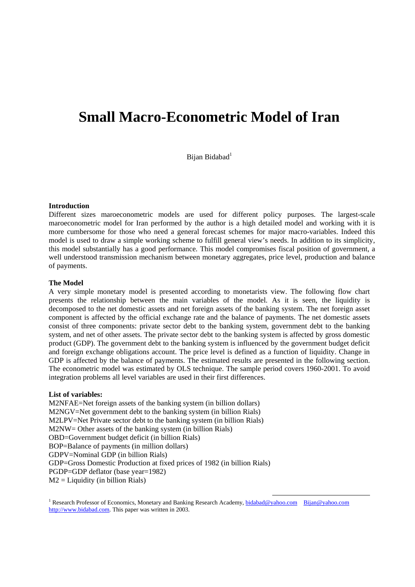# **Small Macro-Econometric Model of Iran**

Bijan Bidabad<sup>1</sup>

#### **Introduction**

Different sizes maroeconometric models are used for different policy purposes. The largest-scale maroeconometric model for Iran performed by the author is a high detailed model and working with it is more cumbersome for those who need a general forecast schemes for major macro-variables. Indeed this model is used to draw a simple working scheme to fulfill general view's needs. In addition to its simplicity, this model substantially has a good performance. This model compromises fiscal position of government, a well understood transmission mechanism between monetary aggregates, price level, production and balance of payments.

#### **The Model**

A very simple monetary model is presented according to monetarists view. The following flow chart presents the relationship between the main variables of the model. As it is seen, the liquidity is decomposed to the net domestic assets and net foreign assets of the banking system. The net foreign asset component is affected by the official exchange rate and the balance of payments. The net domestic assets consist of three components: private sector debt to the banking system, government debt to the banking system, and net of other assets. The private sector debt to the banking system is affected by gross domestic product (GDP). The government debt to the banking system is influenced by the government budget deficit and foreign exchange obligations account. The price level is defined as a function of liquidity. Change in GDP is affected by the balance of payments. The estimated results are presented in the following section. The econometric model was estimated by OLS technique. The sample period covers 1960-2001. To avoid integration problems all level variables are used in their first differences.

#### **List of variables:**

M2NFAE=Net foreign assets of the banking system (in billion dollars) M2NGV=Net government debt to the banking system (in billion Rials) M2LPV=Net Private sector debt to the banking system (in billion Rials) M2NW= Other assets of the banking system (in billion Rials) OBD=Government budget deficit (in billion Rials) BOP=Balance of payments (in million dollars) GDPV=Nominal GDP (in billion Rials) GDP=Gross Domestic Production at fixed prices of 1982 (in billion Rials) PGDP=GDP deflator (base year=1982)  $M2 =$  Liquidity (in billion Rials)

<sup>1</sup> Research Professor of Economics, Monetary and Banking Research Academy, **bidabad@yahoo.com** Bijan@yahoo.com http://www.bidabad.com. This paper was written in 2003.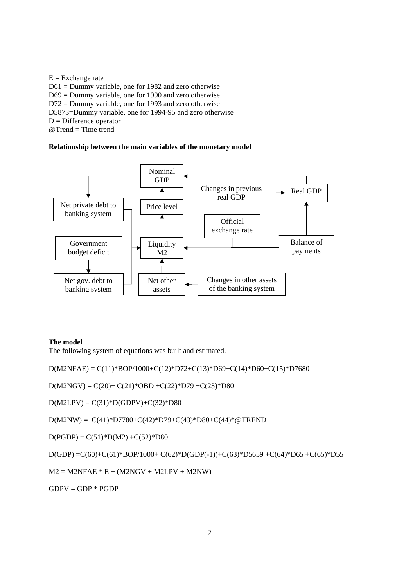$E = Exchange$  rate D61 = Dummy variable, one for 1982 and zero otherwise D69 = Dummy variable, one for 1990 and zero otherwise D72 = Dummy variable, one for 1993 and zero otherwise D5873=Dummy variable, one for 1994-95 and zero otherwise  $D =$ Difference operator  $@$ Trend = Time trend

### **Relationship between the main variables of the monetary model**



#### **The model**

The following system of equations was built and estimated.

 $D(M2NFAE) = C(11)*BOP/1000 + C(12)*D72 + C(13)*D69 + C(14)*D60 + C(15)*D7680$ 

 $D(M2NGV) = C(20) + C(21)^* OBD + C(22)^* D79 + C(23)^* D80$ 

 $D(M2LPV) = C(31)*D(GDPV) + C(32)*D80$ 

 $D(M2NW) = C(41)*D7780+C(42)*D79+C(43)*D80+C(44)*@TREND$ 

 $D(PGDP) = C(51)*D(M2) + C(52)*D80$ 

D(GDP) =C(60)+C(61)\*BOP/1000+ C(62)\*D(GDP(-1))+C(63)\*D5659 +C(64)\*D65 +C(65)\*D55

 $M2 = M2NFAE * E + (M2NGV + M2LPV + M2NW)$ 

 $GDPV = GDP * PGDP$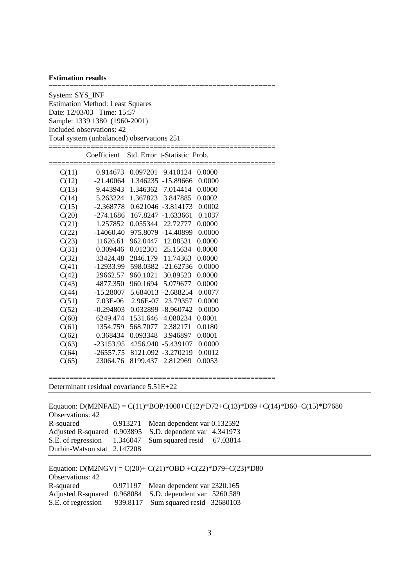#### **Estimation results**

====================================================== System: SYS\_INF Estimation Method: Least Squares Date: 12/03/03 Time: 15:57 Sample: 1339 1380 (1960-2001) Included observations: 42 Total system (unbalanced) observations 251

|       | Coefficient Std. Error t-Statistic Prob. |          |                                   |        |  |
|-------|------------------------------------------|----------|-----------------------------------|--------|--|
| C(11) |                                          |          | 0.914673 0.097201 9.410124 0.0000 |        |  |
| C(12) | $-21.40064$                              |          | 1.346235 -15.89666                | 0.0000 |  |
| C(13) | 9.443943 1.346362 7.014414               |          |                                   | 0.0000 |  |
| C(14) |                                          |          | 5.263224 1.367823 3.847885        | 0.0002 |  |
| C(15) | $-2.368778$                              |          | 0.621046 -3.814173                | 0.0002 |  |
| C(20) |                                          |          | -274.1686 167.8247 -1.633661      | 0.1037 |  |
| C(21) | 1.257852                                 |          | 0.055344 22.72777                 | 0.0000 |  |
| C(22) | -14060.40                                |          | 975.8079 -14.40899                | 0.0000 |  |
| C(23) | 11626.61                                 | 962.0447 | 12.08531                          | 0.0000 |  |
| C(31) | 0.309446                                 |          | 0.012301 25.15634                 | 0.0000 |  |
| C(32) | 33424.48                                 |          | 2846.179 11.74363                 | 0.0000 |  |
| C(41) | $-12933.99$                              |          | 598.0382 -21.62736                | 0.0000 |  |
| C(42) | 29662.57                                 |          | 960.1021 30.89523                 | 0.0000 |  |
| C(43) | 4877.350                                 |          | 960.1694 5.079677                 | 0.0000 |  |
| C(44) |                                          |          | -15.28007 5.684013 -2.688254      | 0.0077 |  |
| C(51) | 7.03E-06                                 |          | 2.96E-07 23.79357                 | 0.0000 |  |
| C(52) | -0.294803                                |          | 0.032899 -8.960742                | 0.0000 |  |
| C(60) | 6249.474                                 |          | 1531.646 4.080234                 | 0.0001 |  |
| C(61) | 1354.759                                 |          | 568.7077 2.382171                 | 0.0180 |  |
| C(62) | 0.368434                                 |          | 0.093348 3.946897                 | 0.0001 |  |
| C(63) | $-23153.95$                              |          | 4256.940 -5.439107                | 0.0000 |  |
| C(64) | $-26557.75$                              |          | 8121.092 -3.270219                | 0.0012 |  |
| C(65) | 23064.76                                 | 8199.437 | 2.812969                          | 0.0053 |  |
|       |                                          |          |                                   |        |  |

Determinant residual covariance 5.51E+22

S.E. of regression 939.8117 Sum squared resid 32680103

|                             | Equation: D(M2NFAE) = C(11)*BOP/1000+C(12)*D72+C(13)*D69+C(14)*D60+C(15)*D7680 |  |
|-----------------------------|--------------------------------------------------------------------------------|--|
| <b>Observations: 42</b>     |                                                                                |  |
| R-squared                   | 0.913271 Mean dependent var 0.132592                                           |  |
|                             | Adjusted R-squared 0.903895 S.D. dependent var 4.341973                        |  |
|                             | S.E. of regression 1.346047 Sum squared resid 67.03814                         |  |
| Durbin-Watson stat 2.147208 |                                                                                |  |
|                             |                                                                                |  |
|                             | Equation: D(M2NGV) = $C(20) + C(21)^*$ OBD + $C(22)^*$ D79+ $C(23)^*$ D80      |  |
| <b>Observations: 42</b>     |                                                                                |  |
|                             |                                                                                |  |
| R-squared                   | 0.971197 Mean dependent var 2320.165                                           |  |

======================================================

3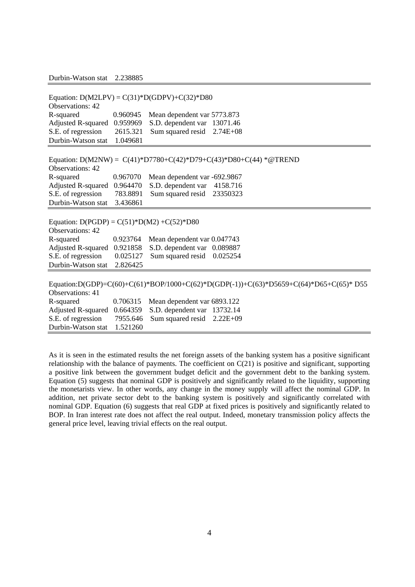Durbin-Watson stat 2.238885

| Equation: $D(M2LPV) = C(31)^*D(GDPV) + C(32)^*D80$ |          |                              |                                                                                       |  |  |  |
|----------------------------------------------------|----------|------------------------------|---------------------------------------------------------------------------------------|--|--|--|
| <b>Observations: 42</b>                            |          |                              |                                                                                       |  |  |  |
| R-squared                                          | 0.960945 | Mean dependent var 5773.873  |                                                                                       |  |  |  |
| Adjusted R-squared 0.959969                        |          | S.D. dependent var 13071.46  |                                                                                       |  |  |  |
| S.E. of regression                                 | 2615.321 | Sum squared resid            | $2.74E + 08$                                                                          |  |  |  |
| Durbin-Watson stat                                 | 1.049681 |                              |                                                                                       |  |  |  |
|                                                    |          |                              |                                                                                       |  |  |  |
|                                                    |          |                              | Equation: D(M2NW) = $C(41)$ *D7780+C(42)*D79+C(43)*D80+C(44) *@TREND                  |  |  |  |
| <b>Observations: 42</b>                            |          |                              |                                                                                       |  |  |  |
| R-squared                                          | 0.967070 | Mean dependent var -692.9867 |                                                                                       |  |  |  |
| Adjusted R-squared 0.964470                        |          | S.D. dependent var           | 4158.716                                                                              |  |  |  |
| S.E. of regression                                 | 783.8891 | Sum squared resid            | 23350323                                                                              |  |  |  |
| Durbin-Watson stat                                 | 3.436861 |                              |                                                                                       |  |  |  |
|                                                    |          |                              |                                                                                       |  |  |  |
| Equation: $D(PGDP) = C(51)^*D(M2) + C(52)^*D80$    |          |                              |                                                                                       |  |  |  |
| <b>Observations: 42</b>                            |          |                              |                                                                                       |  |  |  |
| R-squared                                          | 0.923764 | Mean dependent var 0.047743  |                                                                                       |  |  |  |
| Adjusted R-squared 0.921858                        |          | S.D. dependent var 0.089887  |                                                                                       |  |  |  |
| S.E. of regression                                 | 0.025127 | Sum squared resid            | 0.025254                                                                              |  |  |  |
| Durbin-Watson stat                                 | 2.826425 |                              |                                                                                       |  |  |  |
|                                                    |          |                              |                                                                                       |  |  |  |
|                                                    |          |                              | Equation:D(GDP)=C(60)+C(61)*BOP/1000+C(62)*D(GDP(-1))+C(63)*D5659+C(64)*D65+C(65)*D55 |  |  |  |
| <b>Observations: 41</b>                            |          |                              |                                                                                       |  |  |  |
| R-squared                                          | 0.706315 | Mean dependent var 6893.122  |                                                                                       |  |  |  |
| Adjusted R-squared 0.664359                        |          | S.D. dependent var           | 13732.14                                                                              |  |  |  |
|                                                    | 7955.646 |                              | $2.22E+09$                                                                            |  |  |  |
| Durbin-Watson stat                                 | 1.521260 |                              |                                                                                       |  |  |  |
| S.E. of regression                                 |          | Sum squared resid            |                                                                                       |  |  |  |

As it is seen in the estimated results the net foreign assets of the banking system has a positive significant relationship with the balance of payments. The coefficient on  $C(21)$  is positive and significant, supporting a positive link between the government budget deficit and the government debt to the banking system. Equation (5) suggests that nominal GDP is positively and significantly related to the liquidity, supporting the monetarists view. In other words, any change in the money supply will affect the nominal GDP. In addition, net private sector debt to the banking system is positively and significantly correlated with nominal GDP. Equation (6) suggests that real GDP at fixed prices is positively and significantly related to BOP. In Iran interest rate does not affect the real output. Indeed, monetary transmission policy affects the general price level, leaving trivial effects on the real output.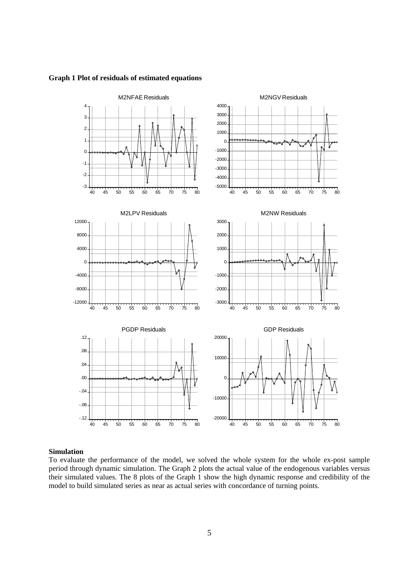#### **Graph 1 Plot of residuals of estimated equations**



#### **Simulation**

To evaluate the performance of the model, we solved the whole system for the whole ex-post sample period through dynamic simulation. The Graph 2 plots the actual value of the endogenous variables versus their simulated values. The 8 plots of the Graph 1 show the high dynamic response and credibility of the model to build simulated series as near as actual series with concordance of turning points.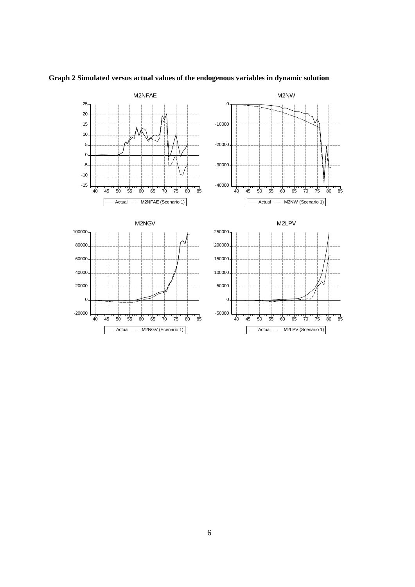

## **Graph 2 Simulated versus actual values of the endogenous variables in dynamic solution**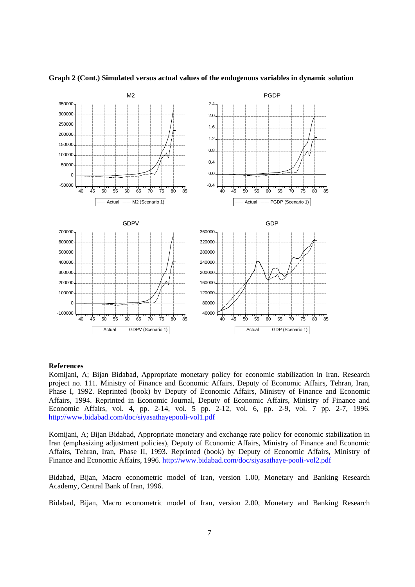

**Graph 2 (Cont.) Simulated versus actual values of the endogenous variables in dynamic solution** 

#### **References**

Komijani, A; Bijan Bidabad, Appropriate monetary policy for economic stabilization in Iran. Research project no. 111. Ministry of Finance and Economic Affairs, Deputy of Economic Affairs, Tehran, Iran, Phase I, 1992. Reprinted (book) by Deputy of Economic Affairs, Ministry of Finance and Economic Affairs, 1994. Reprinted in Economic Journal, Deputy of Economic Affairs, Ministry of Finance and Economic Affairs, vol. 4, pp. 2-14, vol. 5 pp. 2-12, vol. 6, pp. 2-9, vol. 7 pp. 2-7, 1996. http://www.bidabad.com/doc/siyasathayepooli-vol1.pdf

Komijani, A; Bijan Bidabad, Appropriate monetary and exchange rate policy for economic stabilization in Iran (emphasizing adjustment policies), Deputy of Economic Affairs, Ministry of Finance and Economic Affairs, Tehran, Iran, Phase II, 1993. Reprinted (book) by Deputy of Economic Affairs, Ministry of Finance and Economic Affairs, 1996. http://www.bidabad.com/doc/siyasathaye-pooli-vol2.pdf

Bidabad, Bijan, Macro econometric model of Iran, version 1.00, Monetary and Banking Research Academy, Central Bank of Iran, 1996.

Bidabad, Bijan, Macro econometric model of Iran, version 2.00, Monetary and Banking Research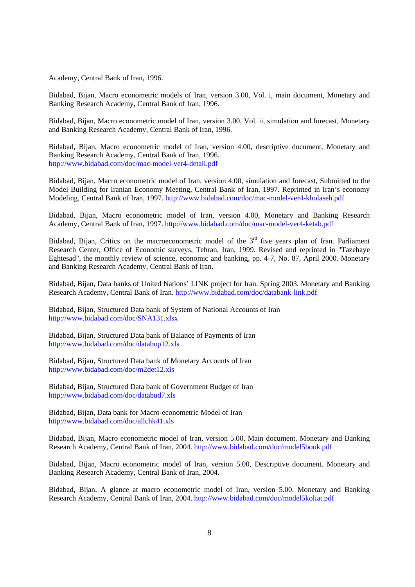Academy, Central Bank of Iran, 1996.

Bidabad, Bijan, Macro econometric models of Iran, version 3.00, Vol. i, main document, Monetary and Banking Research Academy, Central Bank of Iran, 1996.

Bidabad, Bijan, Macro econometric model of Iran, version 3.00, Vol. ii, simulation and forecast, Monetary and Banking Research Academy, Central Bank of Iran, 1996.

Bidabad, Bijan, Macro econometric model of Iran, version 4.00, descriptive document, Monetary and Banking Research Academy, Central Bank of Iran, 1996. http://www.bidabad.com/doc/mac-model-ver4-detail.pdf

Bidabad, Bijan, Macro econometric model of Iran, version 4.00, simulation and forecast, Submitted to the Model Building for Iranian Economy Meeting, Central Bank of Iran, 1997. Reprinted in Iran's economy Modeling, Central Bank of Iran, 1997. http://www.bidabad.com/doc/mac-model-ver4-kholaseh.pdf

Bidabad, Bijan, Macro econometric model of Iran, version 4.00, Monetary and Banking Research Academy, Central Bank of Iran, 1997. http://www.bidabad.com/doc/mac-model-ver4-ketab.pdf

Bidabad, Bijan, Critics on the macroeconometric model of the  $3<sup>rd</sup>$  five years plan of Iran. Parliament Research Center, Office of Economic surveys, Tehran, Iran, 1999. Revised and reprinted in "Tazehaye Eghtesad", the monthly review of science, economic and banking, pp. 4-7, No. 87, April 2000. Monetary and Banking Research Academy, Central Bank of Iran.

Bidabad, Bijan, Data banks of United Nations' LINK project for Iran. Spring 2003. Monetary and Banking Research Academy, Central Bank of Iran. http://www.bidabad.com/doc/databank-link.pdf

Bidabad, Bijan, Structured Data bank of System of National Accounts of Iran http://www.bidabad.com/doc/SNA131.xlsx

Bidabad, Bijan, Structured Data bank of Balance of Payments of Iran http://www.bidabad.com/doc/databop12.xls

Bidabad, Bijan, Structured Data bank of Monetary Accounts of Iran http://www.bidabad.com/doc/m2det12.xls

Bidabad, Bijan, Structured Data bank of Government Budget of Iran http://www.bidabad.com/doc/databud7.xls

Bidabad, Bijan, Data bank for Macro-econometric Model of Iran http://www.bidabad.com/doc/allchk41.xls

Bidabad, Bijan, Macro econometric model of Iran, version 5.00, Main document. Monetary and Banking Research Academy, Central Bank of Iran, 2004. http://www.bidabad.com/doc/model5book.pdf

Bidabad, Bijan, Macro econometric model of Iran, version 5.00, Descriptive document. Monetary and Banking Research Academy, Central Bank of Iran, 2004.

Bidabad, Bijan, A glance at macro econometric model of Iran, version 5.00. Monetary and Banking Research Academy, Central Bank of Iran, 2004. http://www.bidabad.com/doc/model5koliat.pdf